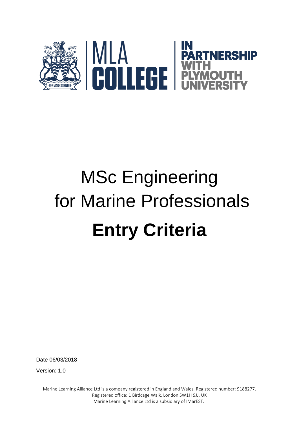

## MSc Engineering for Marine Professionals **Entry Criteria**

Date 06/03/2018

Version: 1.0

Marine Learning Alliance Ltd is a company registered in England and Wales. Registered number: 9188277. Registered office: 1 Birdcage Walk, London SW1H 9JJ, UK Marine Learning Alliance Ltd is a subsidiary of IMarEST.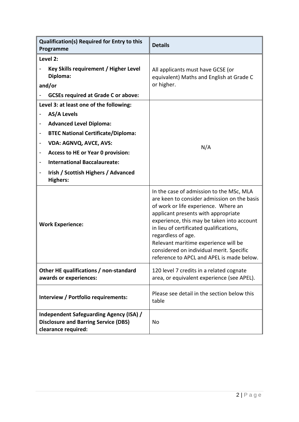| Qualification(s) Required for Entry to this<br>Programme                                                                                                                                                                                                                                                                                                          | <b>Details</b>                                                                                                                                                                                                                                                                                                                                                                                                         |
|-------------------------------------------------------------------------------------------------------------------------------------------------------------------------------------------------------------------------------------------------------------------------------------------------------------------------------------------------------------------|------------------------------------------------------------------------------------------------------------------------------------------------------------------------------------------------------------------------------------------------------------------------------------------------------------------------------------------------------------------------------------------------------------------------|
| Level 2:<br>Key Skills requirement / Higher Level<br>Diploma:<br>and/or<br><b>GCSEs required at Grade C or above:</b>                                                                                                                                                                                                                                             | All applicants must have GCSE (or<br>equivalent) Maths and English at Grade C<br>or higher.                                                                                                                                                                                                                                                                                                                            |
| Level 3: at least one of the following:<br><b>AS/A Levels</b><br><b>Advanced Level Diploma:</b><br><b>BTEC National Certificate/Diploma:</b><br>$\qquad \qquad \blacksquare$<br><b>VDA: AGNVQ, AVCE, AVS:</b><br><b>Access to HE or Year 0 provision:</b><br><b>International Baccalaureate:</b><br><b>Irish / Scottish Highers / Advanced</b><br><b>Highers:</b> | N/A                                                                                                                                                                                                                                                                                                                                                                                                                    |
| <b>Work Experience:</b>                                                                                                                                                                                                                                                                                                                                           | In the case of admission to the MSc, MLA<br>are keen to consider admission on the basis<br>of work or life experience. Where an<br>applicant presents with appropriate<br>experience, this may be taken into account<br>in lieu of certificated qualifications,<br>regardless of age.<br>Relevant maritime experience will be<br>considered on individual merit. Specific<br>reference to APCL and APEL is made below. |
| Other HE qualifications / non-standard<br>awards or experiences:                                                                                                                                                                                                                                                                                                  | 120 level 7 credits in a related cognate<br>area, or equivalent experience (see APEL).                                                                                                                                                                                                                                                                                                                                 |
| Interview / Portfolio requirements:                                                                                                                                                                                                                                                                                                                               | Please see detail in the section below this<br>table                                                                                                                                                                                                                                                                                                                                                                   |
| <b>Independent Safeguarding Agency (ISA) /</b><br><b>Disclosure and Barring Service (DBS)</b><br>clearance required:                                                                                                                                                                                                                                              | No                                                                                                                                                                                                                                                                                                                                                                                                                     |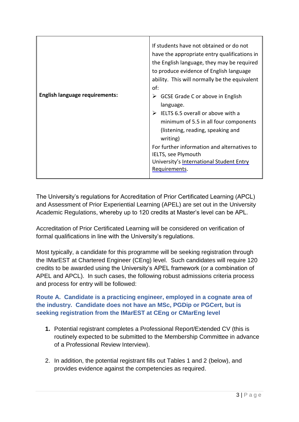| <b>English language requirements:</b> | If students have not obtained or do not<br>have the appropriate entry qualifications in<br>the English language, they may be required<br>to produce evidence of English language<br>ability. This will normally be the equivalent<br>of:<br>GCSE Grade C or above in English<br>language.<br>$\triangleright$ IELTS 6.5 overall or above with a<br>minimum of 5.5 in all four components<br>(listening, reading, speaking and<br>writing)<br>For further information and alternatives to<br>IELTS, see Plymouth |
|---------------------------------------|-----------------------------------------------------------------------------------------------------------------------------------------------------------------------------------------------------------------------------------------------------------------------------------------------------------------------------------------------------------------------------------------------------------------------------------------------------------------------------------------------------------------|
|                                       | University's International Student Entry<br>Requirements.                                                                                                                                                                                                                                                                                                                                                                                                                                                       |

The University's regulations for Accreditation of Prior Certificated Learning (APCL) and Assessment of Prior Experiential Learning (APEL) are set out in the University Academic Regulations, whereby up to 120 credits at Master's level can be APL.

Accreditation of Prior Certificated Learning will be considered on verification of formal qualifications in line with the University's regulations.

Most typically, a candidate for this programme will be seeking registration through the IMarEST at Chartered Engineer (CEng) level. Such candidates will require 120 credits to be awarded using the University's APEL framework (or a combination of APEL and APCL). In such cases, the following robust admissions criteria process and process for entry will be followed:

## **Route A. Candidate is a practicing engineer, employed in a cognate area of the industry. Candidate does not have an MSc, PGDip or PGCert, but is seeking registration from the IMarEST at CEng or CMarEng level**

- **1.** Potential registrant completes a Professional Report/Extended CV (this is routinely expected to be submitted to the Membership Committee in advance of a Professional Review Interview).
- 2. In addition, the potential registrant fills out Tables 1 and 2 (below), and provides evidence against the competencies as required.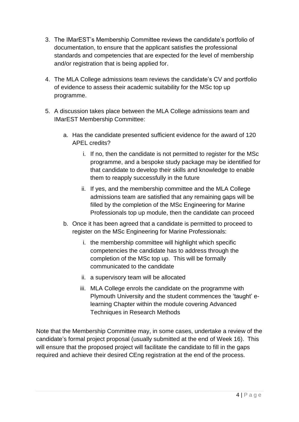- 3. The IMarEST's Membership Committee reviews the candidate's portfolio of documentation, to ensure that the applicant satisfies the professional standards and competencies that are expected for the level of membership and/or registration that is being applied for.
- 4. The MLA College admissions team reviews the candidate's CV and portfolio of evidence to assess their academic suitability for the MSc top up programme.
- 5. A discussion takes place between the MLA College admissions team and IMarEST Membership Committee:
	- a. Has the candidate presented sufficient evidence for the award of 120 APEL credits?
		- i. If no, then the candidate is not permitted to register for the MSc programme, and a bespoke study package may be identified for that candidate to develop their skills and knowledge to enable them to reapply successfully in the future
		- ii. If yes, and the membership committee and the MLA College admissions team are satisfied that any remaining gaps will be filled by the completion of the MSc Engineering for Marine Professionals top up module, then the candidate can proceed
	- b. Once it has been agreed that a candidate is permitted to proceed to register on the MSc Engineering for Marine Professionals:
		- i. the membership committee will highlight which specific competencies the candidate has to address through the completion of the MSc top up. This will be formally communicated to the candidate
		- ii. a supervisory team will be allocated
		- iii. MLA College enrols the candidate on the programme with Plymouth University and the student commences the 'taught' elearning Chapter within the module covering Advanced Techniques in Research Methods

Note that the Membership Committee may, in some cases, undertake a review of the candidate's formal project proposal (usually submitted at the end of Week 16). This will ensure that the proposed project will facilitate the candidate to fill in the gaps required and achieve their desired CEng registration at the end of the process.